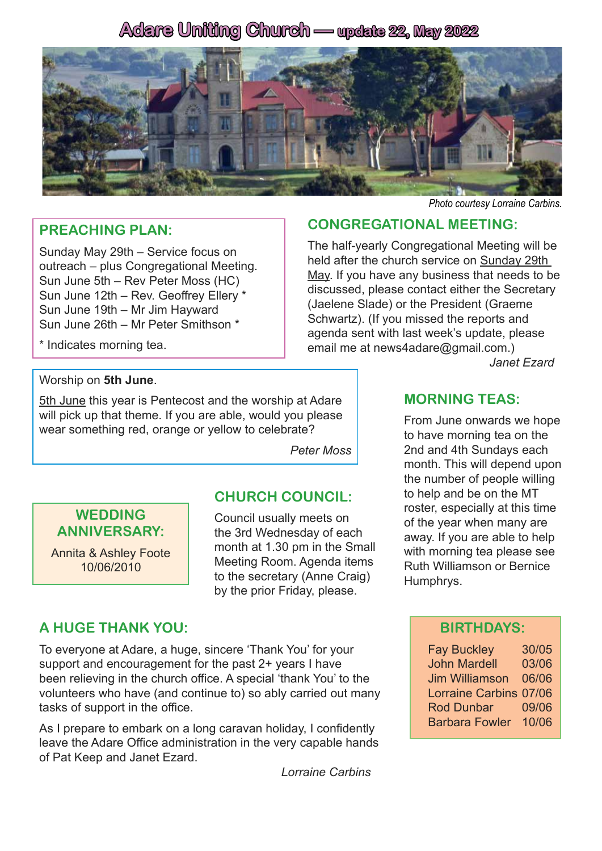# **Adare Uniting Church — update 22, May 2022**



#### **PREACHING PLAN:**

Sunday May 29th – Service focus on outreach – plus Congregational Meeting. Sun June 5th – Rev Peter Moss (HC) Sun June 12th – Rev. Geoffrey Ellery \* Sun June 19th – Mr Jim Hayward Sun June 26th – Mr Peter Smithson \*

\* Indicates morning tea.

## Worship on **5th June**.

5th June this year is Pentecost and the worship at Adare will pick up that theme. If you are able, would you please wear something red, orange or yellow to celebrate?

*Peter Moss*

#### **WEDDING ANNIVERSARY:**

Annita & Ashley Foote 10/06/2010

#### **CHURCH COUNCIL:**

Council usually meets on the 3rd Wednesday of each month at 1.30 pm in the Small Meeting Room. Agenda items to the secretary (Anne Craig) by the prior Friday, please.

### **A HUGE THANK YOU:**

To everyone at Adare, a huge, sincere 'Thank You' for your support and encouragement for the past 2+ years I have been relieving in the church office. A special 'thank You' to the volunteers who have (and continue to) so ably carried out many tasks of support in the office.

As I prepare to embark on a long caravan holiday, I confidently leave the Adare Office administration in the very capable hands of Pat Keep and Janet Ezard.

*Lorraine Carbins* 

#### *Photo courtesy Lorraine Carbins.*

#### **CONGREGATIONAL MEETING:**

The half-yearly Congregational Meeting will be held after the church service on Sunday 29th May. If you have any business that needs to be discussed, please contact either the Secretary (Jaelene Slade) or the President (Graeme Schwartz). (If you missed the reports and agenda sent with last week's update, please email me at news4adare@gmail.com.)

*Janet Ezard*

#### **MORNING TEAS:**

From June onwards we hope to have morning tea on the 2nd and 4th Sundays each month. This will depend upon the number of people willing to help and be on the MT roster, especially at this time of the year when many are away. If you are able to help with morning tea please see Ruth Williamson or Bernice Humphrys.

#### **BIRTHDAYS:**

Fay Buckley 30/05 John Mardell 03/06 Jim Williamson 06/06 Lorraine Carbins 07/06 Rod Dunbar 09/06 Barbara Fowler 10/06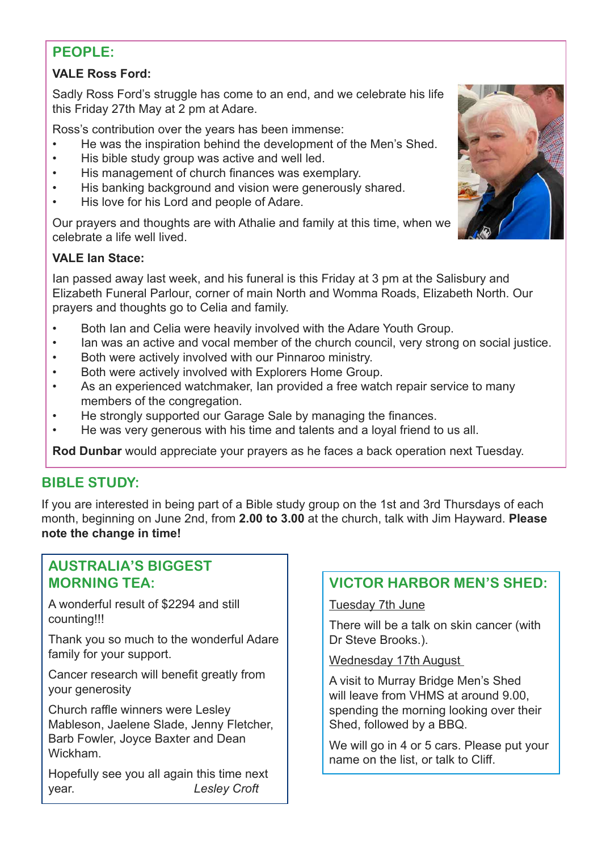## **PEOPLE:**

#### **VALE Ross Ford:**

Sadly Ross Ford's struggle has come to an end, and we celebrate his life this Friday 27th May at 2 pm at Adare.

Ross's contribution over the years has been immense:

- He was the inspiration behind the development of the Men's Shed.
- His bible study group was active and well led.
- His management of church finances was exemplary.
- His banking background and vision were generously shared.
- His love for his Lord and people of Adare.

Our prayers and thoughts are with Athalie and family at this time, when we celebrate a life well lived.

#### **VALE Ian Stace:**

Ian passed away last week, and his funeral is this Friday at 3 pm at the Salisbury and Elizabeth Funeral Parlour, corner of main North and Womma Roads, Elizabeth North. Our prayers and thoughts go to Celia and family.

- Both Ian and Celia were heavily involved with the Adare Youth Group.
- Ian was an active and vocal member of the church council, very strong on social justice.
- Both were actively involved with our Pinnaroo ministry.
- Both were actively involved with Explorers Home Group.
- As an experienced watchmaker, Ian provided a free watch repair service to many members of the congregation.
- He strongly supported our Garage Sale by managing the finances.
- He was very generous with his time and talents and a loyal friend to us all.

**Rod Dunbar** would appreciate your prayers as he faces a back operation next Tuesday.

## **BIBLE STUDY:**

If you are interested in being part of a Bible study group on the 1st and 3rd Thursdays of each month, beginning on June 2nd, from **2.00 to 3.00** at the church, talk with Jim Hayward. **Please note the change in time!**

### **AUSTRALIA'S BIGGEST MORNING TEA:**

A wonderful result of \$2294 and still counting!!!

Thank you so much to the wonderful Adare family for your support.

Cancer research will benefit greatly from your generosity

Church raffle winners were Lesley Mableson, Jaelene Slade, Jenny Fletcher, Barb Fowler, Joyce Baxter and Dean Wickham.

Hopefully see you all again this time next year. *Lesley Croft*

### **VICTOR HARBOR MEN'S SHED:**

#### Tuesday 7th June

There will be a talk on skin cancer (with Dr Steve Brooks.).

#### Wednesday 17th August

A visit to Murray Bridge Men's Shed will leave from VHMS at around 9.00, spending the morning looking over their Shed, followed by a BBQ.

We will go in 4 or 5 cars. Please put your name on the list, or talk to Cliff.